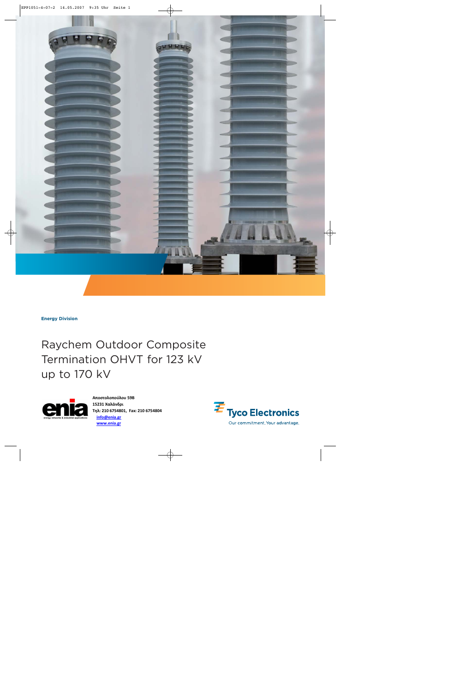

**Energy Division**

Raychem Outdoor Composite Termination OHVT for 123 kV up to 170 kV



**Αποστολοπούλου 59Β 15231 Χαλάνδρι Τηλ: 210 6754801, Fax: 210 6754804 info@enia.gr www.enia.gr**